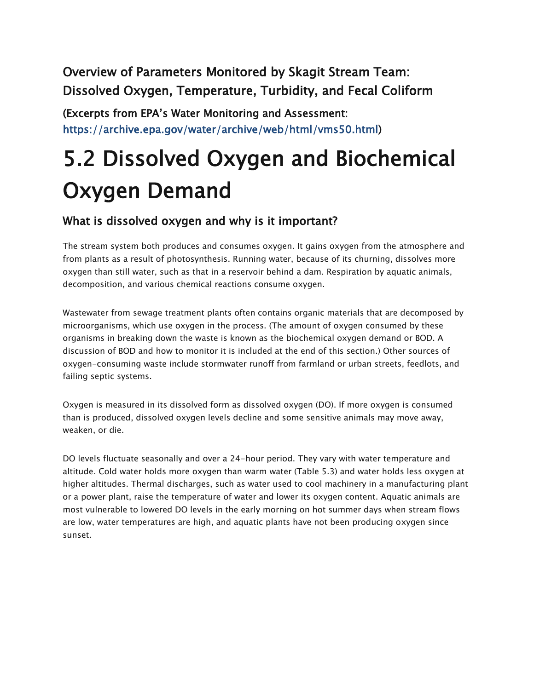Overview of Parameters Monitored by Skagit Stream Team: Dissolved Oxygen, Temperature, Turbidity, and Fecal Coliform

(Excerpts from EPA's Water Monitoring and Assessment: https://archive.epa.gov/water/archive/web/html/vms50.html)

# 5.2 Dissolved Oxygen and Biochemical Oxygen Demand

#### What is dissolved oxygen and why is it important?

The stream system both produces and consumes oxygen. It gains oxygen from the atmosphere and from plants as a result of photosynthesis. Running water, because of its churning, dissolves more oxygen than still water, such as that in a reservoir behind a dam. Respiration by aquatic animals, decomposition, and various chemical reactions consume oxygen.

Wastewater from sewage treatment plants often contains organic materials that are decomposed by microorganisms, which use oxygen in the process. (The amount of oxygen consumed by these organisms in breaking down the waste is known as the biochemical oxygen demand or BOD. A discussion of BOD and how to monitor it is included at the end of this section.) Other sources of oxygen-consuming waste include stormwater runoff from farmland or urban streets, feedlots, and failing septic systems.

Oxygen is measured in its dissolved form as dissolved oxygen (DO). If more oxygen is consumed than is produced, dissolved oxygen levels decline and some sensitive animals may move away, weaken, or die.

DO levels fluctuate seasonally and over a 24-hour period. They vary with water temperature and altitude. Cold water holds more oxygen than warm water (Table 5.3) and water holds less oxygen at higher altitudes. Thermal discharges, such as water used to cool machinery in a manufacturing plant or a power plant, raise the temperature of water and lower its oxygen content. Aquatic animals are most vulnerable to lowered DO levels in the early morning on hot summer days when stream flows are low, water temperatures are high, and aquatic plants have not been producing oxygen since sunset.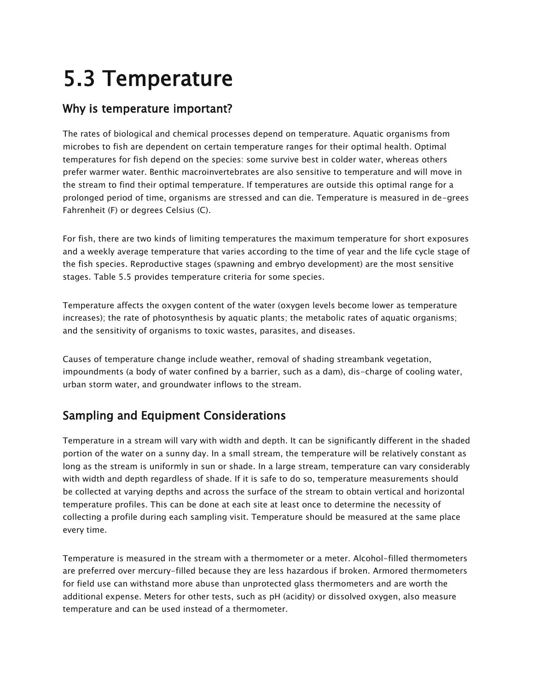# 5.3 Temperature

### Why is temperature important?

The rates of biological and chemical processes depend on temperature. Aquatic organisms from microbes to fish are dependent on certain temperature ranges for their optimal health. Optimal temperatures for fish depend on the species: some survive best in colder water, whereas others prefer warmer water. Benthic macroinvertebrates are also sensitive to temperature and will move in the stream to find their optimal temperature. If temperatures are outside this optimal range for a prolonged period of time, organisms are stressed and can die. Temperature is measured in de-grees Fahrenheit (F) or degrees Celsius (C).

For fish, there are two kinds of limiting temperatures the maximum temperature for short exposures and a weekly average temperature that varies according to the time of year and the life cycle stage of the fish species. Reproductive stages (spawning and embryo development) are the most sensitive stages. Table 5.5 provides temperature criteria for some species.

Temperature affects the oxygen content of the water (oxygen levels become lower as temperature increases); the rate of photosynthesis by aquatic plants; the metabolic rates of aquatic organisms; and the sensitivity of organisms to toxic wastes, parasites, and diseases.

Causes of temperature change include weather, removal of shading streambank vegetation, impoundments (a body of water confined by a barrier, such as a dam), dis-charge of cooling water, urban storm water, and groundwater inflows to the stream.

## Sampling and Equipment Considerations

Temperature in a stream will vary with width and depth. It can be significantly different in the shaded portion of the water on a sunny day. In a small stream, the temperature will be relatively constant as long as the stream is uniformly in sun or shade. In a large stream, temperature can vary considerably with width and depth regardless of shade. If it is safe to do so, temperature measurements should be collected at varying depths and across the surface of the stream to obtain vertical and horizontal temperature profiles. This can be done at each site at least once to determine the necessity of collecting a profile during each sampling visit. Temperature should be measured at the same place every time.

Temperature is measured in the stream with a thermometer or a meter. Alcohol-filled thermometers are preferred over mercury-filled because they are less hazardous if broken. Armored thermometers for field use can withstand more abuse than unprotected glass thermometers and are worth the additional expense. Meters for other tests, such as pH (acidity) or dissolved oxygen, also measure temperature and can be used instead of a thermometer.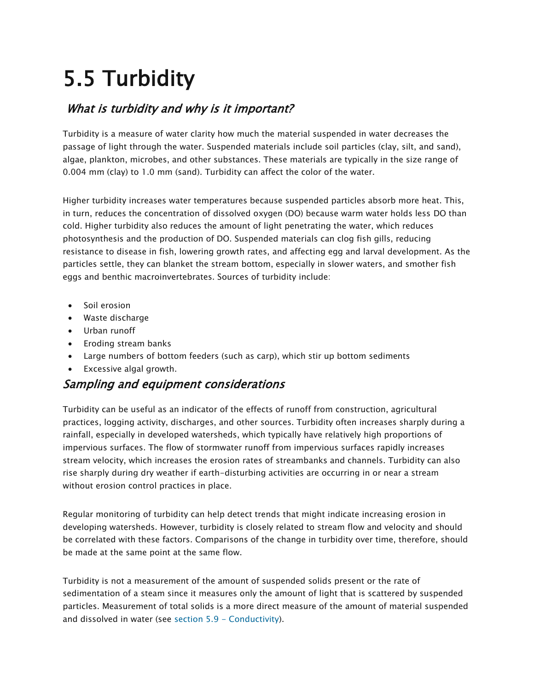# 5.5 Turbidity

### What is turbidity and why is it important?

Turbidity is a measure of water clarity how much the material suspended in water decreases the passage of light through the water. Suspended materials include soil particles (clay, silt, and sand), algae, plankton, microbes, and other substances. These materials are typically in the size range of 0.004 mm (clay) to 1.0 mm (sand). Turbidity can affect the color of the water.

Higher turbidity increases water temperatures because suspended particles absorb more heat. This, in turn, reduces the concentration of dissolved oxygen (DO) because warm water holds less DO than cold. Higher turbidity also reduces the amount of light penetrating the water, which reduces photosynthesis and the production of DO. Suspended materials can clog fish gills, reducing resistance to disease in fish, lowering growth rates, and affecting egg and larval development. As the particles settle, they can blanket the stream bottom, especially in slower waters, and smother fish eggs and benthic macroinvertebrates. Sources of turbidity include:

- Soil erosion
- Waste discharge
- Urban runoff
- Eroding stream banks
- Large numbers of bottom feeders (such as carp), which stir up bottom sediments
- Excessive algal growth.

#### Sampling and equipment considerations

Turbidity can be useful as an indicator of the effects of runoff from construction, agricultural practices, logging activity, discharges, and other sources. Turbidity often increases sharply during a rainfall, especially in developed watersheds, which typically have relatively high proportions of impervious surfaces. The flow of stormwater runoff from impervious surfaces rapidly increases stream velocity, which increases the erosion rates of streambanks and channels. Turbidity can also rise sharply during dry weather if earth-disturbing activities are occurring in or near a stream without erosion control practices in place.

Regular monitoring of turbidity can help detect trends that might indicate increasing erosion in developing watersheds. However, turbidity is closely related to stream flow and velocity and should be correlated with these factors. Comparisons of the change in turbidity over time, therefore, should be made at the same point at the same flow.

Turbidity is not a measurement of the amount of suspended solids present or the rate of sedimentation of a steam since it measures only the amount of light that is scattered by suspended particles. Measurement of total solids is a more direct measure of the amount of material suspended and dissolved in water (see [section 5.9 -](https://archive.epa.gov/water/archive/web/html/vms59.html) Conductivity).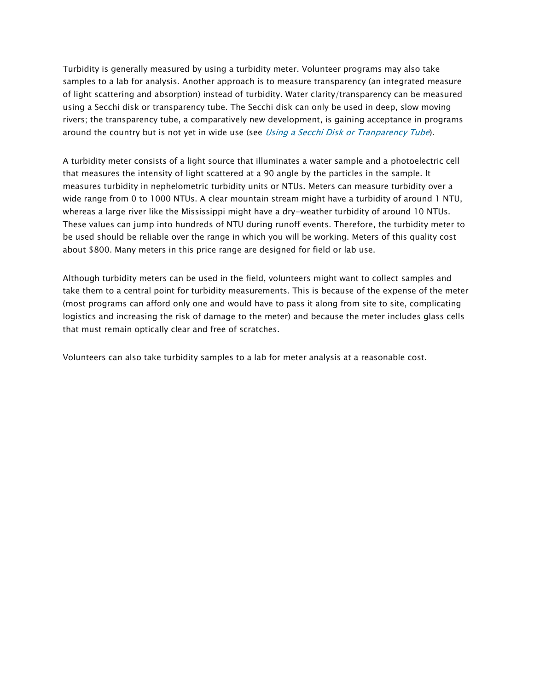Turbidity is generally measured by using a turbidity meter. Volunteer programs may also take samples to a lab for analysis. Another approach is to measure transparency (an integrated measure of light scattering and absorption) instead of turbidity. Water clarity/transparency can be measured using a Secchi disk or transparency tube. The Secchi disk can only be used in deep, slow moving rivers; the transparency tube, a comparatively new development, is gaining acceptance in programs around the country but is not yet in wide use (see *[Using a Secchi Disk or Tranparency Tube](https://archive.epa.gov/water/archive/web/html/155.html)*).

A turbidity meter consists of a light source that illuminates a water sample and a photoelectric cell that measures the intensity of light scattered at a 90 angle by the particles in the sample. It measures turbidity in nephelometric turbidity units or NTUs. Meters can measure turbidity over a wide range from 0 to 1000 NTUs. A clear mountain stream might have a turbidity of around 1 NTU, whereas a large river like the Mississippi might have a dry-weather turbidity of around 10 NTUs. These values can jump into hundreds of NTU during runoff events. Therefore, the turbidity meter to be used should be reliable over the range in which you will be working. Meters of this quality cost about \$800. Many meters in this price range are designed for field or lab use.

Although turbidity meters can be used in the field, volunteers might want to collect samples and take them to a central point for turbidity measurements. This is because of the expense of the meter (most programs can afford only one and would have to pass it along from site to site, complicating logistics and increasing the risk of damage to the meter) and because the meter includes glass cells that must remain optically clear and free of scratches.

Volunteers can also take turbidity samples to a lab for meter analysis at a reasonable cost.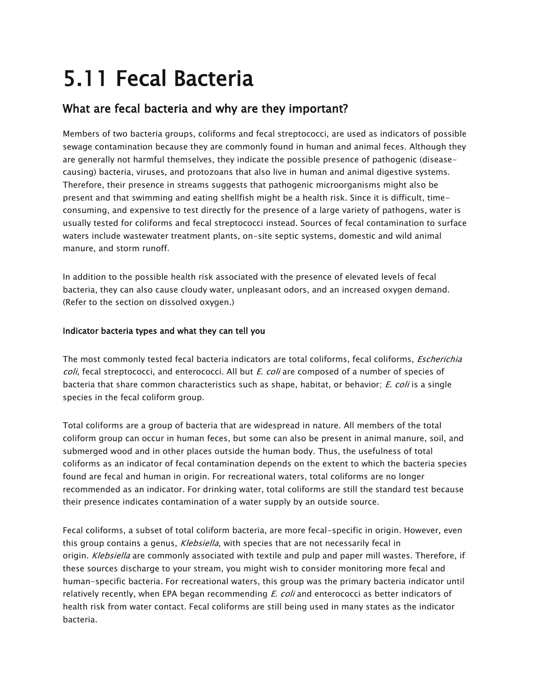## 5.11 Fecal Bacteria

### What are fecal bacteria and why are they important?

Members of two bacteria groups, coliforms and fecal streptococci, are used as indicators of possible sewage contamination because they are commonly found in human and animal feces. Although they are generally not harmful themselves, they indicate the possible presence of pathogenic (diseasecausing) bacteria, viruses, and protozoans that also live in human and animal digestive systems. Therefore, their presence in streams suggests that pathogenic microorganisms might also be present and that swimming and eating shellfish might be a health risk. Since it is difficult, timeconsuming, and expensive to test directly for the presence of a large variety of pathogens, water is usually tested for coliforms and fecal streptococci instead. Sources of fecal contamination to surface waters include wastewater treatment plants, on-site septic systems, domestic and wild animal manure, and storm runoff.

In addition to the possible health risk associated with the presence of elevated levels of fecal bacteria, they can also cause cloudy water, unpleasant odors, and an increased oxygen demand. (Refer to the section on dissolved oxygen.)

#### Indicator bacteria types and what they can tell you

The most commonly tested fecal bacteria indicators are total coliforms, fecal coliforms, *Escherichia* coli, fecal streptococci, and enterococci. All but *E. coli* are composed of a number of species of bacteria that share common characteristics such as shape, habitat, or behavior; E. coli is a single species in the fecal coliform group.

Total coliforms are a group of bacteria that are widespread in nature. All members of the total coliform group can occur in human feces, but some can also be present in animal manure, soil, and submerged wood and in other places outside the human body. Thus, the usefulness of total coliforms as an indicator of fecal contamination depends on the extent to which the bacteria species found are fecal and human in origin. For recreational waters, total coliforms are no longer recommended as an indicator. For drinking water, total coliforms are still the standard test because their presence indicates contamination of a water supply by an outside source.

Fecal coliforms, a subset of total coliform bacteria, are more fecal-specific in origin. However, even this group contains a genus, Klebsiella, with species that are not necessarily fecal in origin. Klebsiella are commonly associated with textile and pulp and paper mill wastes. Therefore, if these sources discharge to your stream, you might wish to consider monitoring more fecal and human-specific bacteria. For recreational waters, this group was the primary bacteria indicator until relatively recently, when EPA began recommending E. coli and enterococci as better indicators of health risk from water contact. Fecal coliforms are still being used in many states as the indicator bacteria.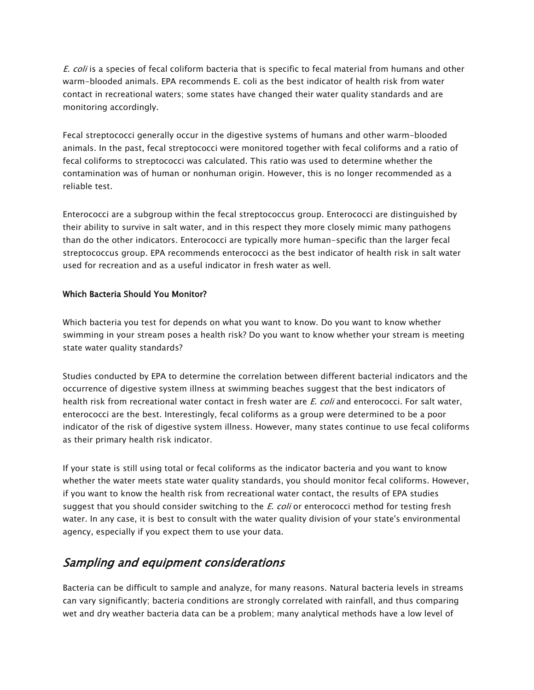E. coli is a species of fecal coliform bacteria that is specific to fecal material from humans and other warm-blooded animals. EPA recommends E. coli as the best indicator of health risk from water contact in recreational waters; some states have changed their water quality standards and are monitoring accordingly.

Fecal streptococci generally occur in the digestive systems of humans and other warm-blooded animals. In the past, fecal streptococci were monitored together with fecal coliforms and a ratio of fecal coliforms to streptococci was calculated. This ratio was used to determine whether the contamination was of human or nonhuman origin. However, this is no longer recommended as a reliable test.

Enterococci are a subgroup within the fecal streptococcus group. Enterococci are distinguished by their ability to survive in salt water, and in this respect they more closely mimic many pathogens than do the other indicators. Enterococci are typically more human-specific than the larger fecal streptococcus group. EPA recommends enterococci as the best indicator of health risk in salt water used for recreation and as a useful indicator in fresh water as well.

#### Which Bacteria Should You Monitor?

Which bacteria you test for depends on what you want to know. Do you want to know whether swimming in your stream poses a health risk? Do you want to know whether your stream is meeting state water quality standards?

Studies conducted by EPA to determine the correlation between different bacterial indicators and the occurrence of digestive system illness at swimming beaches suggest that the best indicators of health risk from recreational water contact in fresh water are E. coli and enterococci. For salt water, enterococci are the best. Interestingly, fecal coliforms as a group were determined to be a poor indicator of the risk of digestive system illness. However, many states continue to use fecal coliforms as their primary health risk indicator.

If your state is still using total or fecal coliforms as the indicator bacteria and you want to know whether the water meets state water quality standards, you should monitor fecal coliforms. However, if you want to know the health risk from recreational water contact, the results of EPA studies suggest that you should consider switching to the  $E.$  coli or enterococci method for testing fresh water. In any case, it is best to consult with the water quality division of your state's environmental agency, especially if you expect them to use your data.

### Sampling and equipment considerations

Bacteria can be difficult to sample and analyze, for many reasons. Natural bacteria levels in streams can vary significantly; bacteria conditions are strongly correlated with rainfall, and thus comparing wet and dry weather bacteria data can be a problem; many analytical methods have a low level of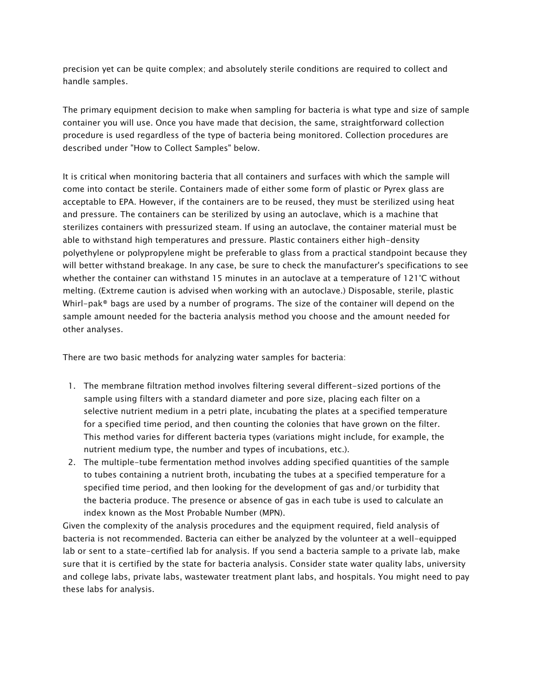precision yet can be quite complex; and absolutely sterile conditions are required to collect and handle samples.

The primary equipment decision to make when sampling for bacteria is what type and size of sample container you will use. Once you have made that decision, the same, straightforward collection procedure is used regardless of the type of bacteria being monitored. Collection procedures are described under "How to Collect Samples" below.

It is critical when monitoring bacteria that all containers and surfaces with which the sample will come into contact be sterile. Containers made of either some form of plastic or Pyrex glass are acceptable to EPA. However, if the containers are to be reused, they must be sterilized using heat and pressure. The containers can be sterilized by using an autoclave, which is a machine that sterilizes containers with pressurized steam. If using an autoclave, the container material must be able to withstand high temperatures and pressure. Plastic containers either high-density polyethylene or polypropylene might be preferable to glass from a practical standpoint because they will better withstand breakage. In any case, be sure to check the manufacturer's specifications to see whether the container can withstand 15 minutes in an autoclave at a temperature of 121°C without melting. (Extreme caution is advised when working with an autoclave.) Disposable, sterile, plastic Whirl-pak® bags are used by a number of programs. The size of the container will depend on the sample amount needed for the bacteria analysis method you choose and the amount needed for other analyses.

There are two basic methods for analyzing water samples for bacteria:

- 1. The membrane filtration method involves filtering several different-sized portions of the sample using filters with a standard diameter and pore size, placing each filter on a selective nutrient medium in a petri plate, incubating the plates at a specified temperature for a specified time period, and then counting the colonies that have grown on the filter. This method varies for different bacteria types (variations might include, for example, the nutrient medium type, the number and types of incubations, etc.).
- 2. The multiple-tube fermentation method involves adding specified quantities of the sample to tubes containing a nutrient broth, incubating the tubes at a specified temperature for a specified time period, and then looking for the development of gas and/or turbidity that the bacteria produce. The presence or absence of gas in each tube is used to calculate an index known as the Most Probable Number (MPN).

Given the complexity of the analysis procedures and the equipment required, field analysis of bacteria is not recommended. Bacteria can either be analyzed by the volunteer at a well-equipped lab or sent to a state-certified lab for analysis. If you send a bacteria sample to a private lab, make sure that it is certified by the state for bacteria analysis. Consider state water quality labs, university and college labs, private labs, wastewater treatment plant labs, and hospitals. You might need to pay these labs for analysis.